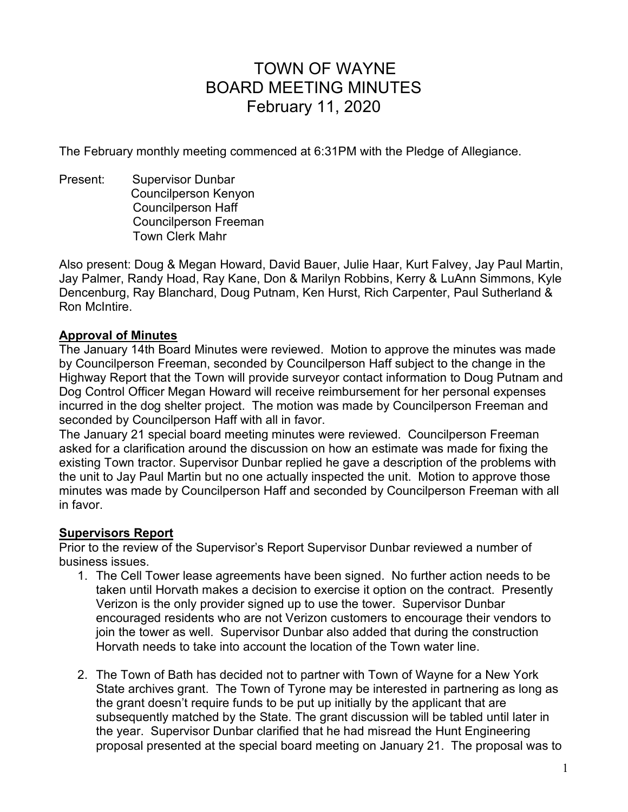# TOWN OF WAYNE BOARD MEETING MINUTES February 11, 2020

The February monthly meeting commenced at 6:31PM with the Pledge of Allegiance.

Present: Supervisor Dunbar Councilperson Kenyon Councilperson Haff Councilperson Freeman Town Clerk Mahr

Also present: Doug & Megan Howard, David Bauer, Julie Haar, Kurt Falvey, Jay Paul Martin, Jay Palmer, Randy Hoad, Ray Kane, Don & Marilyn Robbins, Kerry & LuAnn Simmons, Kyle Dencenburg, Ray Blanchard, Doug Putnam, Ken Hurst, Rich Carpenter, Paul Sutherland & Ron McIntire.

## **Approval of Minutes**

The January 14th Board Minutes were reviewed. Motion to approve the minutes was made by Councilperson Freeman, seconded by Councilperson Haff subject to the change in the Highway Report that the Town will provide surveyor contact information to Doug Putnam and Dog Control Officer Megan Howard will receive reimbursement for her personal expenses incurred in the dog shelter project. The motion was made by Councilperson Freeman and seconded by Councilperson Haff with all in favor.

The January 21 special board meeting minutes were reviewed. Councilperson Freeman asked for a clarification around the discussion on how an estimate was made for fixing the existing Town tractor. Supervisor Dunbar replied he gave a description of the problems with the unit to Jay Paul Martin but no one actually inspected the unit. Motion to approve those minutes was made by Councilperson Haff and seconded by Councilperson Freeman with all in favor.

# **Supervisors Report**

Prior to the review of the Supervisor's Report Supervisor Dunbar reviewed a number of business issues.

- 1. The Cell Tower lease agreements have been signed. No further action needs to be taken until Horvath makes a decision to exercise it option on the contract. Presently Verizon is the only provider signed up to use the tower. Supervisor Dunbar encouraged residents who are not Verizon customers to encourage their vendors to join the tower as well. Supervisor Dunbar also added that during the construction Horvath needs to take into account the location of the Town water line.
- 2. The Town of Bath has decided not to partner with Town of Wayne for a New York State archives grant. The Town of Tyrone may be interested in partnering as long as the grant doesn't require funds to be put up initially by the applicant that are subsequently matched by the State. The grant discussion will be tabled until later in the year. Supervisor Dunbar clarified that he had misread the Hunt Engineering proposal presented at the special board meeting on January 21. The proposal was to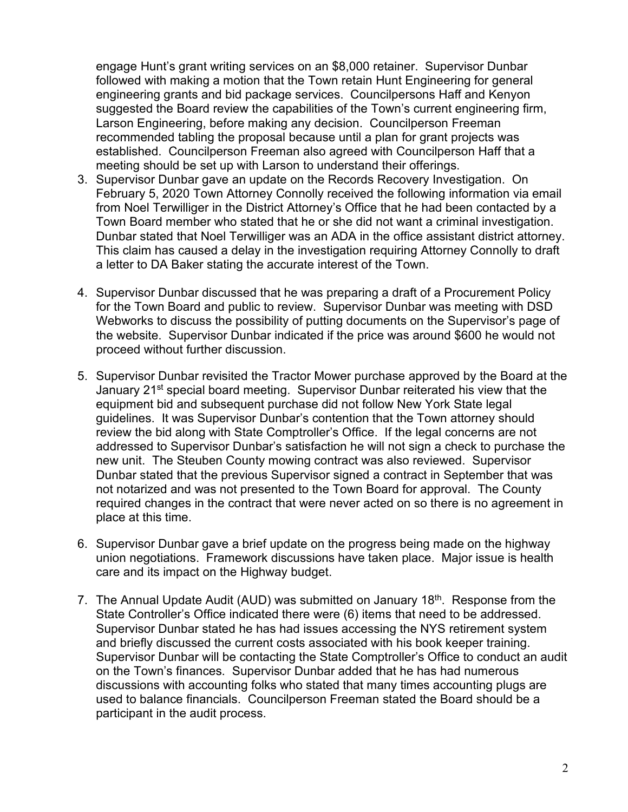engage Hunt's grant writing services on an \$8,000 retainer. Supervisor Dunbar followed with making a motion that the Town retain Hunt Engineering for general engineering grants and bid package services. Councilpersons Haff and Kenyon suggested the Board review the capabilities of the Town's current engineering firm, Larson Engineering, before making any decision. Councilperson Freeman recommended tabling the proposal because until a plan for grant projects was established. Councilperson Freeman also agreed with Councilperson Haff that a meeting should be set up with Larson to understand their offerings.

- 3. Supervisor Dunbar gave an update on the Records Recovery Investigation. On February 5, 2020 Town Attorney Connolly received the following information via email from Noel Terwilliger in the District Attorney's Office that he had been contacted by a Town Board member who stated that he or she did not want a criminal investigation. Dunbar stated that Noel Terwilliger was an ADA in the office assistant district attorney. This claim has caused a delay in the investigation requiring Attorney Connolly to draft a letter to DA Baker stating the accurate interest of the Town.
- 4. Supervisor Dunbar discussed that he was preparing a draft of a Procurement Policy for the Town Board and public to review. Supervisor Dunbar was meeting with DSD Webworks to discuss the possibility of putting documents on the Supervisor's page of the website. Supervisor Dunbar indicated if the price was around \$600 he would not proceed without further discussion.
- 5. Supervisor Dunbar revisited the Tractor Mower purchase approved by the Board at the January 21<sup>st</sup> special board meeting. Supervisor Dunbar reiterated his view that the equipment bid and subsequent purchase did not follow New York State legal guidelines. It was Supervisor Dunbar's contention that the Town attorney should review the bid along with State Comptroller's Office. If the legal concerns are not addressed to Supervisor Dunbar's satisfaction he will not sign a check to purchase the new unit. The Steuben County mowing contract was also reviewed. Supervisor Dunbar stated that the previous Supervisor signed a contract in September that was not notarized and was not presented to the Town Board for approval. The County required changes in the contract that were never acted on so there is no agreement in place at this time.
- 6. Supervisor Dunbar gave a brief update on the progress being made on the highway union negotiations. Framework discussions have taken place. Major issue is health care and its impact on the Highway budget.
- 7. The Annual Update Audit (AUD) was submitted on January 18<sup>th</sup>. Response from the State Controller's Office indicated there were (6) items that need to be addressed. Supervisor Dunbar stated he has had issues accessing the NYS retirement system and briefly discussed the current costs associated with his book keeper training. Supervisor Dunbar will be contacting the State Comptroller's Office to conduct an audit on the Town's finances. Supervisor Dunbar added that he has had numerous discussions with accounting folks who stated that many times accounting plugs are used to balance financials. Councilperson Freeman stated the Board should be a participant in the audit process.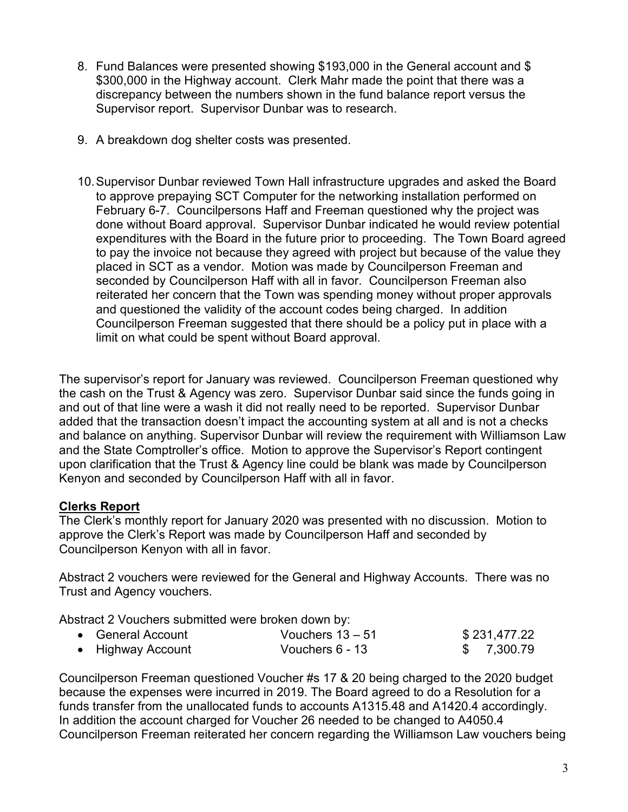- 8. Fund Balances were presented showing \$193,000 in the General account and \$ \$300,000 in the Highway account. Clerk Mahr made the point that there was a discrepancy between the numbers shown in the fund balance report versus the Supervisor report. Supervisor Dunbar was to research.
- 9. A breakdown dog shelter costs was presented.
- 10. Supervisor Dunbar reviewed Town Hall infrastructure upgrades and asked the Board to approve prepaying SCT Computer for the networking installation performed on February 6-7. Councilpersons Haff and Freeman questioned why the project was done without Board approval. Supervisor Dunbar indicated he would review potential expenditures with the Board in the future prior to proceeding. The Town Board agreed to pay the invoice not because they agreed with project but because of the value they placed in SCT as a vendor. Motion was made by Councilperson Freeman and seconded by Councilperson Haff with all in favor. Councilperson Freeman also reiterated her concern that the Town was spending money without proper approvals and questioned the validity of the account codes being charged. In addition Councilperson Freeman suggested that there should be a policy put in place with a limit on what could be spent without Board approval.

The supervisor's report for January was reviewed. Councilperson Freeman questioned why the cash on the Trust & Agency was zero. Supervisor Dunbar said since the funds going in and out of that line were a wash it did not really need to be reported. Supervisor Dunbar added that the transaction doesn't impact the accounting system at all and is not a checks and balance on anything. Supervisor Dunbar will review the requirement with Williamson Law and the State Comptroller's office. Motion to approve the Supervisor's Report contingent upon clarification that the Trust & Agency line could be blank was made by Councilperson Kenyon and seconded by Councilperson Haff with all in favor.

# **Clerks Report**

The Clerk's monthly report for January 2020 was presented with no discussion. Motion to approve the Clerk's Report was made by Councilperson Haff and seconded by Councilperson Kenyon with all in favor.

Abstract 2 vouchers were reviewed for the General and Highway Accounts. There was no Trust and Agency vouchers.

Abstract 2 Vouchers submitted were broken down by:

| • General Account | Vouchers $13 - 51$ | \$231,477.22 |
|-------------------|--------------------|--------------|
| • Highway Account | Vouchers 6 - 13    | \$7,300.79   |

Councilperson Freeman questioned Voucher #s 17 & 20 being charged to the 2020 budget because the expenses were incurred in 2019. The Board agreed to do a Resolution for a funds transfer from the unallocated funds to accounts A1315.48 and A1420.4 accordingly. In addition the account charged for Voucher 26 needed to be changed to A4050.4 Councilperson Freeman reiterated her concern regarding the Williamson Law vouchers being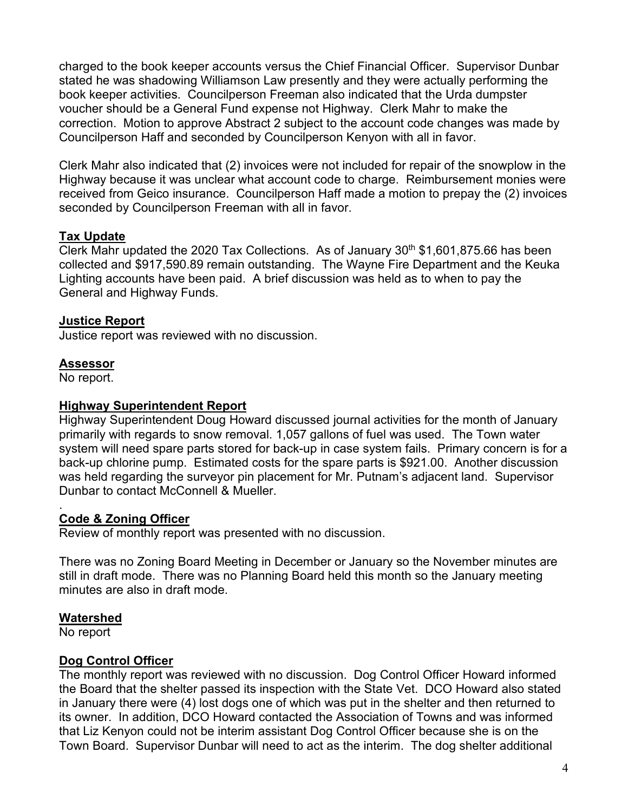charged to the book keeper accounts versus the Chief Financial Officer. Supervisor Dunbar stated he was shadowing Williamson Law presently and they were actually performing the book keeper activities. Councilperson Freeman also indicated that the Urda dumpster voucher should be a General Fund expense not Highway. Clerk Mahr to make the correction. Motion to approve Abstract 2 subject to the account code changes was made by Councilperson Haff and seconded by Councilperson Kenyon with all in favor.

Clerk Mahr also indicated that (2) invoices were not included for repair of the snowplow in the Highway because it was unclear what account code to charge. Reimbursement monies were received from Geico insurance. Councilperson Haff made a motion to prepay the (2) invoices seconded by Councilperson Freeman with all in favor.

## **Tax Update**

Clerk Mahr updated the 2020 Tax Collections. As of January  $30<sup>th</sup>$  \$1,601,875.66 has been collected and \$917,590.89 remain outstanding. The Wayne Fire Department and the Keuka Lighting accounts have been paid. A brief discussion was held as to when to pay the General and Highway Funds.

## **Justice Report**

Justice report was reviewed with no discussion.

## **Assessor**

No report.

#### **Highway Superintendent Report**

Highway Superintendent Doug Howard discussed journal activities for the month of January primarily with regards to snow removal. 1,057 gallons of fuel was used. The Town water system will need spare parts stored for back-up in case system fails. Primary concern is for a back-up chlorine pump. Estimated costs for the spare parts is \$921.00. Another discussion was held regarding the surveyor pin placement for Mr. Putnam's adjacent land. Supervisor Dunbar to contact McConnell & Mueller.

#### . **Code & Zoning Officer**

Review of monthly report was presented with no discussion.

There was no Zoning Board Meeting in December or January so the November minutes are still in draft mode. There was no Planning Board held this month so the January meeting minutes are also in draft mode.

#### **Watershed**

No report

#### **Dog Control Officer**

The monthly report was reviewed with no discussion. Dog Control Officer Howard informed the Board that the shelter passed its inspection with the State Vet. DCO Howard also stated in January there were (4) lost dogs one of which was put in the shelter and then returned to its owner. In addition, DCO Howard contacted the Association of Towns and was informed that Liz Kenyon could not be interim assistant Dog Control Officer because she is on the Town Board. Supervisor Dunbar will need to act as the interim. The dog shelter additional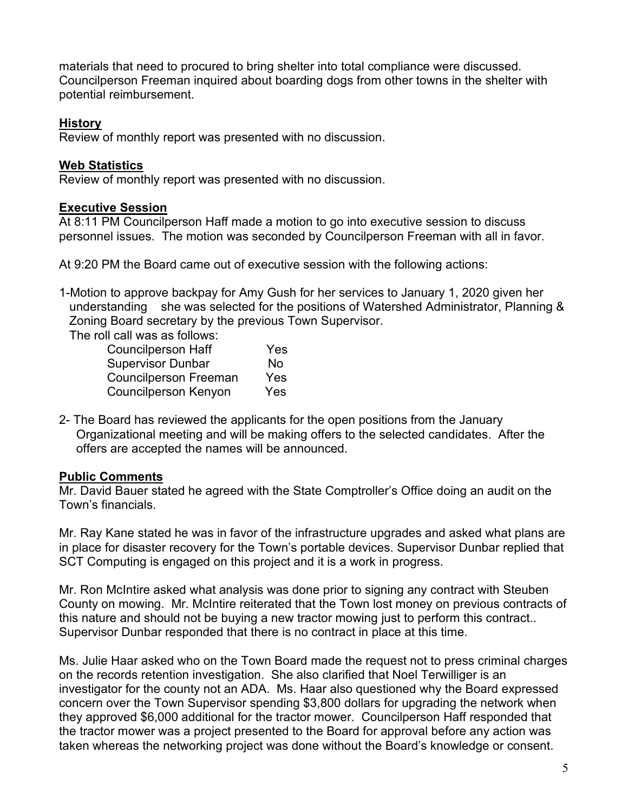materials that need to procured to bring shelter into total compliance were discussed. Councilperson Freeman inquired about boarding dogs from other towns in the shelter with potential reimbursement.

# **History**

Review of monthly report was presented with no discussion.

## **Web Statistics**

Review of monthly report was presented with no discussion.

# **Executive Session**

At 8:11 PM Councilperson Haff made a motion to go into executive session to discuss personnel issues. The motion was seconded by Councilperson Freeman with all in favor.

At 9:20 PM the Board came out of executive session with the following actions:

1-Motion to approve backpay for Amy Gush for her services to January 1, 2020 given her understanding she was selected for the positions of Watershed Administrator, Planning & Zoning Board secretary by the previous Town Supervisor.

The roll call was as follows:

| <b>Councilperson Haff</b>    | <b>Yes</b> |
|------------------------------|------------|
| <b>Supervisor Dunbar</b>     | No         |
| <b>Councilperson Freeman</b> | Yes        |
| Councilperson Kenyon         | Yes        |

2- The Board has reviewed the applicants for the open positions from the January Organizational meeting and will be making offers to the selected candidates. After the offers are accepted the names will be announced.

# **Public Comments**

Mr. David Bauer stated he agreed with the State Comptroller's Office doing an audit on the Town's financials.

Mr. Ray Kane stated he was in favor of the infrastructure upgrades and asked what plans are in place for disaster recovery for the Town's portable devices. Supervisor Dunbar replied that SCT Computing is engaged on this project and it is a work in progress.

Mr. Ron McIntire asked what analysis was done prior to signing any contract with Steuben County on mowing. Mr. McIntire reiterated that the Town lost money on previous contracts of this nature and should not be buying a new tractor mowing just to perform this contract.. Supervisor Dunbar responded that there is no contract in place at this time.

Ms. Julie Haar asked who on the Town Board made the request not to press criminal charges on the records retention investigation. She also clarified that Noel Terwilliger is an investigator for the county not an ADA. Ms. Haar also questioned why the Board expressed concern over the Town Supervisor spending \$3,800 dollars for upgrading the network when they approved \$6,000 additional for the tractor mower. Councilperson Haff responded that the tractor mower was a project presented to the Board for approval before any action was taken whereas the networking project was done without the Board's knowledge or consent.